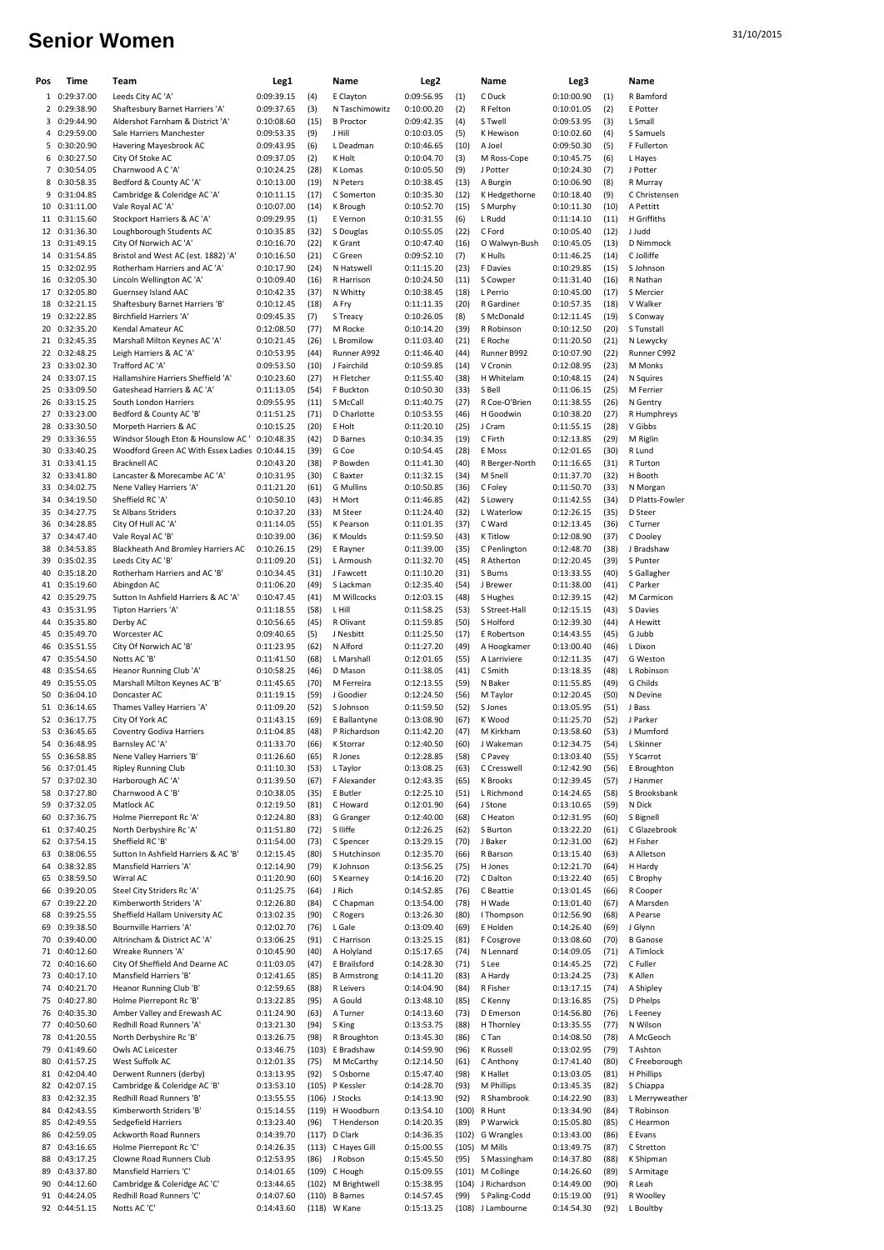## 31/10/2015 **Senior Women**

| Pos | Time                           | Team                                                          | Leg1                     |              | Name                           | Leg2                     |              | Name                  | Leg3                     |              | Name                        |
|-----|--------------------------------|---------------------------------------------------------------|--------------------------|--------------|--------------------------------|--------------------------|--------------|-----------------------|--------------------------|--------------|-----------------------------|
|     | 1 0:29:37.00                   | Leeds City AC 'A'                                             | 0:09:39.15               | (4)          | E Clayton                      | 0:09:56.95               | (1)          | C Duck                | 0:10:00.90               | (1)          | R Bamford                   |
|     | 2 0:29:38.90                   | Shaftesbury Barnet Harriers 'A'                               | 0:09:37.65               | (3)          | N Taschimowitz                 | 0:10:00.20               | (2)          | R Felton              | 0:10:01.05               | (2)          | E Potter                    |
|     | 3 0:29:44.90                   | Aldershot Farnham & District 'A'                              | 0:10:08.60               | (15)         | <b>B</b> Proctor               | 0:09:42.35               | (4)          | S Twell               | 0:09:53.95               | (3)          | L Small                     |
|     | 4 0:29:59.00                   | Sale Harriers Manchester                                      | 0:09:53.35               | (9)          | J Hill                         | 0:10:03.05               | (5)          | K Hewison             | 0:10:02.60               | (4)          | S Samuels                   |
|     | 5 0:30:20.90                   | Havering Mayesbrook AC                                        | 0:09:43.95               | (6)          | L Deadman                      | 0:10:46.65               | (10)         | A Joel                | 0:09:50.30               | (5)          | F Fullerton                 |
|     | 6 0:30:27.50                   | City Of Stoke AC                                              | 0:09:37.05               | (2)          | K Holt                         | 0:10:04.70               | (3)          | M Ross-Cope           | 0:10:45.75               | (6)          | L Hayes                     |
|     | 7 0:30:54.05                   | Charnwood A C 'A'                                             | 0:10:24.25               | (28)         | K Lomas                        | 0:10:05.50               | (9)          | J Potter              | 0:10:24.30               | (7)          | J Potter                    |
|     | 8 0:30:58.35                   | Bedford & County AC 'A'                                       | 0:10:13.00               | (19)         | N Peters                       | 0:10:38.45               | (13)         | A Burgin              | 0:10:06.90               | (8)          | R Murray                    |
|     | 9 0:31:04.85                   | Cambridge & Coleridge AC 'A'                                  | 0:10:11.15               | (17)         | C Somerton                     | 0:10:35.30               | (12)         | K Hedgethorne         | 0:10:18.40               | (9)          | C Christensen               |
|     | 10 0:31:11.00                  | Vale Royal AC 'A'                                             | 0:10:07.00               | (14)         | K Brough                       | 0:10:52.70               | (15)         | S Murphy              | 0:10:11.30               | (10)         | A Pettitt                   |
|     | 11 0:31:15.60                  | Stockport Harriers & AC 'A'                                   | 0:09:29.95               | (1)          | E Vernon                       | 0:10:31.55               | (6)          | L Rudd                | 0:11:14.10               | (11)         | H Griffiths                 |
|     | 12 0:31:36.30                  | Loughborough Students AC                                      | 0:10:35.85               | (32)         | S Douglas                      | 0:10:55.05               | (22)         | C Ford                | 0:10:05.40               | (12)         | J Judd                      |
|     | 13 0:31:49.15                  | City Of Norwich AC 'A'<br>Bristol and West AC (est. 1882) 'A' | 0:10:16.70               | (22)         | K Grant                        | 0:10:47.40               | (16)         | O Walwyn-Bush         | 0:10:45.05               | (13)         | D Nimmock                   |
|     | 14 0:31:54.85                  |                                                               | 0:10:16.50               | (21)         | C Green                        | 0:09:52.10               | (7)          | K Hulls               | 0:11:46.25               | (14)         | C Jolliffe                  |
|     | 15 0:32:02.95<br>16 0:32:05.30 | Rotherham Harriers and AC 'A'<br>Lincoln Wellington AC 'A'    | 0:10:17.90<br>0:10:09.40 | (24)<br>(16) | N Hatswell<br>R Harrison       | 0:11:15.20<br>0:10:24.50 | (23)<br>(11) | F Davies<br>S Cowper  | 0:10:29.85<br>0:11:31.40 | (15)<br>(16) | S Johnson<br>R Nathan       |
|     | 17 0:32:05.80                  | Guernsey Island AAC                                           | 0:10:42.35               | (37)         | N Whitty                       | 0:10:38.45               | (18)         | L Perrio              | 0:10:45.00               | (17)         | S Mercier                   |
|     | 18 0:32:21.15                  | Shaftesbury Barnet Harriers 'B'                               | 0:10:12.45               | (18)         | A Fry                          | 0:11:11.35               | (20)         | R Gardiner            | 0:10:57.35               | (18)         | V Walker                    |
|     | 19 0:32:22.85                  | Birchfield Harriers 'A'                                       | 0:09:45.35               | (7)          | S Treacy                       | 0:10:26.05               | (8)          | S McDonald            | 0:12:11.45               | (19)         | S Conway                    |
|     | 20 0:32:35.20                  | Kendal Amateur AC                                             | 0:12:08.50               | (77)         | M Rocke                        | 0:10:14.20               | (39)         | R Robinson            | 0:10:12.50               | (20)         | S Tunstall                  |
|     | 21 0:32:45.35                  | Marshall Milton Keynes AC 'A'                                 | 0:10:21.45               | (26)         | L Bromilow                     | 0:11:03.40               | (21)         | E Roche               | 0:11:20.50               | (21)         | N Lewycky                   |
|     | 22 0:32:48.25                  | Leigh Harriers & AC 'A'                                       | 0:10:53.95               | (44)         | Runner A992                    | 0:11:46.40               | (44)         | Runner B992           | 0:10:07.90               | (22)         | Runner C992                 |
|     | 23 0:33:02.30                  | Trafford AC 'A'                                               | 0:09:53.50               | (10)         | J Fairchild                    | 0:10:59.85               | (14)         | V Cronin              | 0:12:08.95               | (23)         | M Monks                     |
|     | 24 0:33:07.15                  | Hallamshire Harriers Sheffield 'A'                            | 0:10:23.60               | (27)         | H Fletcher                     | 0:11:55.40               | (38)         | H Whitelam            | 0:10:48.15               | (24)         | N Squires                   |
|     | 25 0:33:09.50                  | Gateshead Harriers & AC 'A'                                   | 0:11:13.05               | (54)         | F Buckton                      | 0:10:50.30               | (33)         | S Bell                | 0:11:06.15               | (25)         | M Ferrier                   |
|     | 26 0:33:15.25                  | South London Harriers                                         | 0:09:55.95               | (11)         | S McCall                       | 0:11:40.75               | (27)         | R Coe-O'Brien         | 0:11:38.55               | (26)         | N Gentry                    |
|     | 27 0:33:23.00                  | Bedford & County AC 'B'                                       | 0:11:51.25               | (71)         | D Charlotte                    | 0:10:53.55               | (46)         | H Goodwin             | 0:10:38.20               | (27)         | R Humphreys                 |
|     | 28 0:33:30.50                  | Morpeth Harriers & AC                                         | 0:10:15.25               | (20)         | E Holt                         | 0:11:20.10               | (25)         | J Cram                | 0:11:55.15               | (28)         | V Gibbs                     |
|     | 29 0:33:36.55                  | Windsor Slough Eton & Hounslow AC'                            | 0:10:48.35               | (42)         | D Barnes                       | 0:10:34.35               | (19)         | C Firth               | 0:12:13.85               | (29)         | M Riglin                    |
|     | 30 0:33:40.25                  | Woodford Green AC With Essex Ladies 0:10:44.15                |                          | (39)         | G Coe                          | 0:10:54.45               | (28)         | E Moss                | 0:12:01.65               | (30)         | R Lund                      |
|     | 31 0:33:41.15                  | <b>Bracknell AC</b>                                           | 0:10:43.20               | (38)         | P Bowden                       | 0:11:41.30               | (40)         | R Berger-North        | 0:11:16.65               | (31)         | R Turton                    |
|     | 32 0:33:41.80                  | Lancaster & Morecambe AC 'A'                                  | 0:10:31.95               | (30)         | C Baxter                       | 0:11:32.15               | (34)         | M Snell               | 0:11:37.70               | (32)         | H Booth                     |
|     | 33 0:34:02.75                  | Nene Valley Harriers 'A'                                      | 0:11:21.20               | (61)         | <b>G</b> Mullins               | 0:10:50.85               | (36)         | C Foley               | 0:11:50.70               | (33)         | N Morgan                    |
|     | 34 0:34:19.50                  | Sheffield RC 'A'                                              | 0:10:50.10               | (43)         | H Mort                         | 0:11:46.85               | (42)         | S Lowery              | 0:11:42.55               | (34)         | D Platts-Fowler             |
|     | 35 0:34:27.75                  | St Albans Striders                                            | 0:10:37.20               | (33)         | M Steer                        | 0:11:24.40               | (32)         | L Waterlow            | 0:12:26.15               | (35)         | <b>D</b> Steer              |
|     | 36 0:34:28.85                  | City Of Hull AC 'A'                                           | 0:11:14.05               | (55)         | K Pearson                      | 0:11:01.35               | (37)         | C Ward                | 0:12:13.45               | (36)         | C Turner                    |
|     | 37 0:34:47.40                  | Vale Royal AC 'B'                                             | 0:10:39.00               | (36)         | K Moulds                       | 0:11:59.50               | (43)         | <b>K</b> Titlow       | 0:12:08.90               | (37)         | C Dooley                    |
|     | 38 0:34:53.85                  | Blackheath And Bromley Harriers AC                            | 0:10:26.15               | (29)         | E Rayner                       | 0:11:39.00               | (35)         | C Penlington          | 0:12:48.70               | (38)         | J Bradshaw                  |
|     | 39 0:35:02.35<br>40 0:35:18.20 | Leeds City AC 'B'                                             | 0:11:09.20               | (51)         | L Armoush                      | 0:11:32.70               | (45)         | R Atherton            | 0:12:20.45               | (39)         | S Punter                    |
|     |                                | Rotherham Harriers and AC 'B'<br>Abingdon AC                  | 0:10:34.45               | (31)<br>(49) | J Fawcett<br>S Lackman         | 0:11:10.20               | (31)         | S Burns               | 0:13:33.55               | (40)<br>(41) | S Gallagher<br>C Parker     |
|     | 41 0:35:19.60<br>42 0:35:29.75 | Sutton In Ashfield Harriers & AC 'A'                          | 0:11:06.20<br>0:10:47.45 | (41)         | M Willcocks                    | 0:12:35.40<br>0:12:03.15 | (54)<br>(48) | J Brewer<br>S Hughes  | 0:11:38.00<br>0:12:39.15 | (42)         | M Carmicon                  |
|     | 43 0:35:31.95                  | Tipton Harriers 'A'                                           | 0:11:18.55               | (58)         | L Hill                         | 0:11:58.25               | (53)         | S Street-Hall         | 0:12:15.15               | (43)         | S Davies                    |
|     | 44 0:35:35.80                  | Derby AC                                                      | 0:10:56.65               | (45)         | R Olivant                      | 0:11:59.85               | (50)         | S Holford             | 0:12:39.30               | (44)         | A Hewitt                    |
|     | 45 0:35:49.70                  | Worcester AC                                                  | 0:09:40.65               | (5)          | J Nesbitt                      | 0:11:25.50               | (17)         | E Robertson           | 0:14:43.55               | (45)         | G Jubb                      |
|     | 46 0:35:51.55                  | City Of Norwich AC 'B'                                        | 0:11:23.95               | (62)         | N Alford                       | 0:11:27.20               | (49)         | A Hoogkamer           | 0:13:00.40               | (46)         | L Dixon                     |
|     | 47 0:35:54.50                  | Notts AC 'B'                                                  | 0:11:41.50               | (68)         | L Marshall                     | 0:12:01.65               | (55)         | A Larriviere          | 0:12:11.35               | (47)         | G Weston                    |
|     | 48 0:35:54.65                  | Heanor Running Club 'A'                                       | 0:10:58.25               | (46)         | D Mason                        | 0:11:38.05               | (41)         | C Smith               | 0:13:18.35               | (48)         | L Robinson                  |
|     | 49 0:35:55.05                  | Marshall Milton Keynes AC 'B'                                 | 0:11:45.65               | (70)         | M Ferreira                     | 0:12:13.55               | (59)         | N Baker               | 0:11:55.85               | (49)         | G Childs                    |
|     | 50 0:36:04.10                  | Doncaster AC                                                  | 0:11:19.15               | (59)         | J Goodier                      | 0:12:24.50               | (56)         | M Taylor              | 0:12:20.45               | (50)         | N Devine                    |
|     | 51 0:36:14.65                  | Thames Valley Harriers 'A'                                    | 0:11:09.20               | (52)         | S Johnson                      | 0:11:59.50               | (52)         | S Jones               | 0:13:05.95               | (51)         | J Bass                      |
|     | 52 0:36:17.75                  | City Of York AC                                               | 0:11:43.15               | (69)         | E Ballantyne                   | 0:13:08.90               | (67)         | K Wood                | 0:11:25.70               | (52)         | J Parker                    |
|     | 53 0:36:45.65                  | <b>Coventry Godiva Harriers</b>                               | 0:11:04.85               | (48)         | P Richardson                   | 0:11:42.20               | (47)         | M Kirkham             | 0:13:58.60               | (53)         | J Mumford                   |
| 54  | 0:36:48.95                     | Barnsley AC 'A'                                               | 0:11:33.70               | (66)         | K Storrar                      | 0:12:40.50               | (60)         | J Wakeman             | 0:12:34.75               | (54)         | L Skinner                   |
|     | 55 0:36:58.85                  | Nene Valley Harriers 'B'                                      | 0:11:26.60               | (65)         | R Jones                        | 0:12:28.85               | (58)         | C Pavey               | 0:13:03.40               | (55)         | Y Scarrot                   |
|     | 56 0:37:01.45                  | <b>Ripley Running Club</b>                                    | 0:11:10.30               | (53)         | L Taylor                       | 0:13:08.25               | (63)         | C Cresswell           | 0:12:42.90               | (56)         | E Broughton                 |
|     | 57 0:37:02.30                  | Harborough AC 'A'                                             | 0:11:39.50               | (67)         | F Alexander                    | 0:12:43.35               | (65)         | K Brooks              | 0:12:39.45               | (57)         | J Hanmer                    |
|     | 58 0:37:27.80                  | Charnwood A C 'B'                                             | 0:10:38.05               | (35)         | E Butler                       | 0:12:25.10               | (51)         | L Richmond            | 0:14:24.65               | (58)         | S Brooksbank                |
|     | 59 0:37:32.05                  | Matlock AC                                                    | 0:12:19.50               | (81)         | C Howard                       | 0:12:01.90<br>0:12:40.00 | (64)         | J Stone               | 0:13:10.65               | (59)         | N Dick                      |
|     | 60 0:37:36.75<br>61 0:37:40.25 | Holme Pierrepont Rc 'A'<br>North Derbyshire Rc 'A'            | 0:12:24.80<br>0:11:51.80 | (83)<br>(72) | G Granger<br>S Iliffe          | 0:12:26.25               | (68)<br>(62) | C Heaton<br>S Burton  | 0:12:31.95<br>0:13:22.20 | (60)<br>(61) | S Bignell<br>C Glazebrook   |
|     | 62 0:37:54.15                  | Sheffield RC 'B'                                              | 0:11:54.00               | (73)         | C Spencer                      | 0:13:29.15               | (70)         | J Baker               | 0:12:31.00               | (62)         | H Fisher                    |
|     | 63 0:38:06.55                  | Sutton In Ashfield Harriers & AC 'B'                          | 0:12:15.45               | (80)         | S Hutchinson                   | 0:12:35.70               | (66)         | R Barson              | 0:13:15.40               | (63)         | A Alletson                  |
|     | 64 0:38:32.85                  | Mansfield Harriers 'A'                                        | 0:12:14.90               | (79)         | K Johnson                      | 0:13:56.25               | (75)         | H Jones               | 0:12:21.70               | (64)         | H Hardy                     |
|     | 65 0:38:59.50                  | Wirral AC                                                     | 0:11:20.90               | (60)         | S Kearney                      | 0:14:16.20               | (72)         | C Dalton              | 0:13:22.40               | (65)         | C Brophy                    |
|     | 66 0:39:20.05                  | Steel City Striders Rc 'A'                                    | 0:11:25.75               | (64)         | J Rich                         | 0:14:52.85               | (76)         | C Beattie             | 0:13:01.45               | (66)         | R Cooper                    |
|     | 67 0:39:22.20                  | Kimberworth Striders 'A'                                      | 0:12:26.80               | (84)         | C Chapman                      | 0:13:54.00               | (78)         | H Wade                | 0:13:01.40               | (67)         | A Marsden                   |
|     | 68 0:39:25.55                  | Sheffield Hallam University AC                                | 0:13:02.35               | (90)         | C Rogers                       | 0:13:26.30               | (80)         | I Thompson            | 0:12:56.90               | (68)         | A Pearse                    |
| 69  | 0:39:38.50                     | Bournville Harriers 'A'                                       | 0:12:02.70               | (76)         | L Gale                         | 0:13:09.40               | (69)         | E Holden              | 0:14:26.40               | (69)         | J Glynn                     |
|     | 70 0:39:40.00                  | Altrincham & District AC 'A'                                  | 0:13:06.25               | (91)         | C Harrison                     | 0:13:25.15               | (81)         | F Cosgrove            | 0:13:08.60               | (70)         | <b>B</b> Ganose             |
|     | 71 0:40:12.60                  | Wreake Runners 'A'                                            | 0:10:45.90               | (40)         | A Holyland                     | 0:15:17.65               | (74)         | N Lennard             | 0:14:09.05               | (71)         | A Timlock                   |
|     | 72 0:40:16.60                  | City Of Sheffield And Dearne AC                               | 0:11:03.05               | (47)         | E Brailsford                   | 0:14:28.30               | (71)         | S Lee                 | 0:14:45.25               | (72)         | C Fuller                    |
|     | 73 0:40:17.10                  | Mansfield Harriers 'B'                                        | 0:12:41.65               | (85)         | <b>B</b> Armstrong             | 0:14:11.20               | (83)         | A Hardy               | 0:13:24.25               | (73)         | K Allen                     |
|     | 74 0:40:21.70                  | Heanor Running Club 'B'                                       | 0:12:59.65               | (88)         | <b>R</b> Leivers               | 0:14:04.90               | (84)         | R Fisher              | 0:13:17.15               | (74)         | A Shipley                   |
|     | 75 0:40:27.80                  | Holme Pierrepont Rc 'B'                                       | 0:13:22.85               | (95)         | A Gould                        | 0:13:48.10               | (85)         | C Kenny               | 0:13:16.85               | (75)         | D Phelps                    |
|     | 76 0:40:35.30                  | Amber Valley and Erewash AC                                   | 0:11:24.90               | (63)         | A Turner                       | 0:14:13.60               | (73)         | D Emerson             | 0:14:56.80               | (76)         | L Feeney                    |
|     | 77 0:40:50.60                  | Redhill Road Runners 'A'                                      | 0:13:21.30               | (94)         | S King                         | 0:13:53.75               | (88)         | H Thornley            | 0:13:35.55               | (77)         | N Wilson                    |
|     | 78 0:41:20.55                  | North Derbyshire Rc 'B'                                       | 0:13:26.75               | (98)         | R Broughton                    | 0:13:45.30               | (86)         | C Tan                 | 0:14:08.50               | (78)         | A McGeoch                   |
|     | 79 0:41:49.60                  | Owls AC Leicester                                             | 0:13:46.75               |              | (103) E Bradshaw<br>M McCarthy | 0:14:59.90               | (96)         | K Russell             | 0:13:02.95               | (79)         | T Ashton                    |
| 80  | 0:41:57.25                     | West Suffolk AC                                               | 0:12:01.35               | (75)         | S Osborne                      | 0:12:14.50               | (61)<br>(98) | C Anthony<br>K Hallet | 0:17:41.40               | (80)<br>(81) | C Freeborough<br>H Phillips |
|     | 81 0:42:04.40<br>82 0:42:07.15 | Derwent Runners (derby)<br>Cambridge & Coleridge AC 'B'       | 0:13:13.95<br>0:13:53.10 | (92)         | (105) P Kessler                | 0:15:47.40<br>0:14:28.70 | (93)         | M Phillips            | 0:13:03.05<br>0:13:45.35 | (82)         | S Chiappa                   |
|     | 83 0:42:32.35                  | Redhill Road Runners 'B'                                      | 0:13:55.55               |              | (106) J Stocks                 | 0:14:13.90               | (92)         | R Shambrook           | 0:14:22.90               | (83)         | L Merryweather              |
|     | 84 0:42:43.55                  | Kimberworth Striders 'B'                                      | 0:15:14.55               |              | (119) H Woodburn               | 0:13:54.10               | (100)        | R Hunt                | 0:13:34.90               | (84)         | T Robinson                  |
|     | 85 0:42:49.55                  | Sedgefield Harriers                                           | 0:13:23.40               | (96)         | T Henderson                    | 0:14:20.35               | (89)         | P Warwick             | 0:15:05.80               | (85)         | C Hearmon                   |
|     | 86 0:42:59.05                  | Ackworth Road Runners                                         | 0:14:39.70               |              | (117) D Clark                  | 0:14:36.35               |              | (102) G Wrangles      | 0:13:43.00               | (86)         | E Evans                     |
|     | 87 0:43:16.65                  | Holme Pierrepont Rc 'C'                                       | 0:14:26.35               |              | (113) C Hayes Gill             | 0:15:00.55               | (105)        | M Mills               | 0:13:49.75               | (87)         | C Stretton                  |
| 88  | 0:43:17.25                     | Clowne Road Runners Club                                      | 0:12:53.95               | (86)         | J Robson                       | 0:15:45.50               | (95)         | S Massingham          | 0:14:37.80               | (88)         | K Shipman                   |
|     | 89 0:43:37.80                  | Mansfield Harriers 'C'                                        | 0:14:01.65               |              | (109) C Hough                  | 0:15:09.55               |              | (101) M Collinge      | 0:14:26.60               | (89)         | S Armitage                  |
| 90  | 0:44:12.60                     | Cambridge & Coleridge AC 'C'                                  | 0:13:44.65               |              | (102) M Brightwell             | 0:15:38.95               |              | (104) J Richardson    | 0:14:49.00               | (90)         | R Leah                      |
|     | 91 0:44:24.05                  | Redhill Road Runners 'C'                                      | 0:14:07.60               |              | $(110)$ B Barnes               | 0:14:57.45               | (99)         | S Paling-Codd         | 0:15:19.00               | (91)         | R Woolley                   |
|     | 92 0:44:51.15                  | Notts AC 'C'                                                  | 0:14:43.60               |              | (118) W Kane                   | 0:15:13.25               |              | (108) J Lambourne     | 0:14:54.30               | (92)         | L Boultby                   |